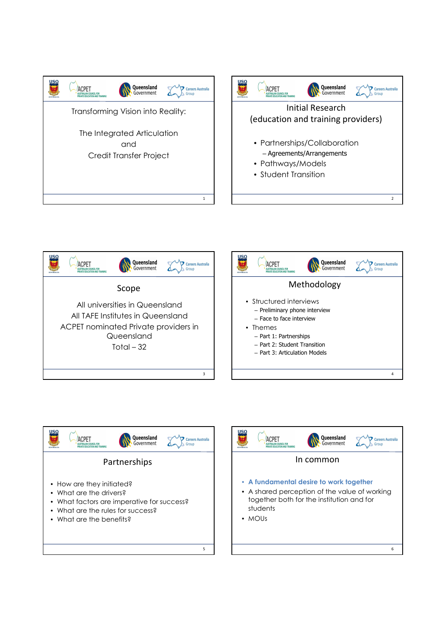









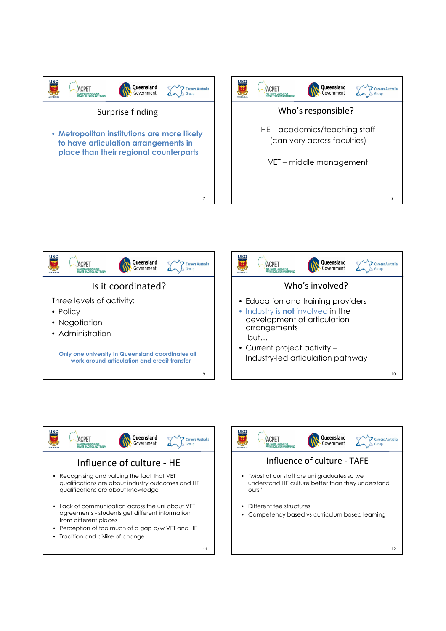









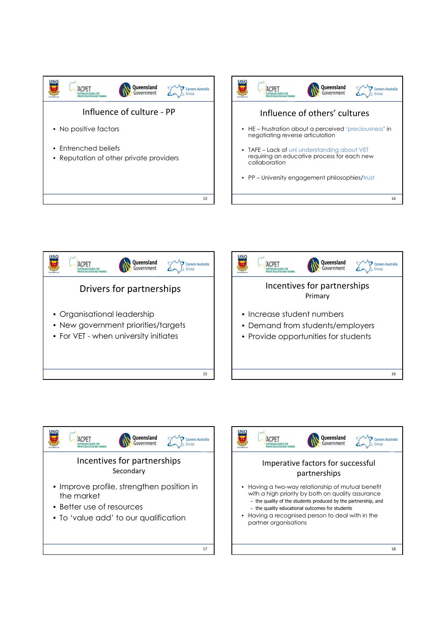









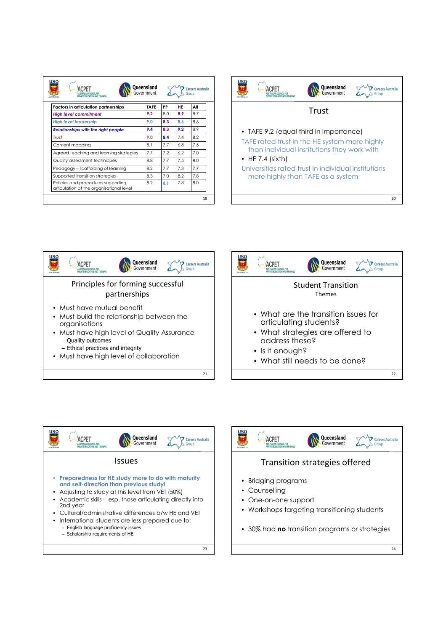| ΠSΩ<br><b>ACPFT</b><br>PRIVATE EDUCATION AND TRAINING<br><b>AUSTRALIA</b>      | Queensland<br>Government |     |     | <b>Careers Australia</b><br>Group |  |  |
|--------------------------------------------------------------------------------|--------------------------|-----|-----|-----------------------------------|--|--|
| <b>Factors in articulation partnerships</b>                                    | <b>TAFE</b>              | PP  | HE  | All                               |  |  |
| <b>High level commitment</b>                                                   | 9.2                      | 8.0 | 8.9 | 8.7                               |  |  |
| <b>High level leadership</b>                                                   | 9.0                      | 8.3 | 8.6 | 8.6                               |  |  |
| <b>Relationships with the right people</b>                                     | 9.4                      | 8.3 | 9.2 | 8.9                               |  |  |
| <b>Trust</b>                                                                   | 9.0                      | 8.4 | 7.4 | 8.2                               |  |  |
| Content mapping                                                                | 8.1                      | 7.7 | 6.8 | 7.5                               |  |  |
| Agreed teaching and learning strategies                                        | 7.7                      | 7.2 | 6.2 | 7.0                               |  |  |
| Quality assessment techniques                                                  | 8.8                      | 7.7 | 7.5 | 8.0                               |  |  |
| Pedagogy - scaffolding of learning                                             | 8.2                      | 7.7 | 7.3 | 7.7                               |  |  |
| Supported transition strategies                                                | 8.3                      | 7.0 | 8.2 | 7.8                               |  |  |
| Policies and procedures supporting<br>articulation at the organisational level | 8.2                      | 8.1 | 7.8 | 8.0                               |  |  |
|                                                                                |                          |     |     | 19                                |  |  |









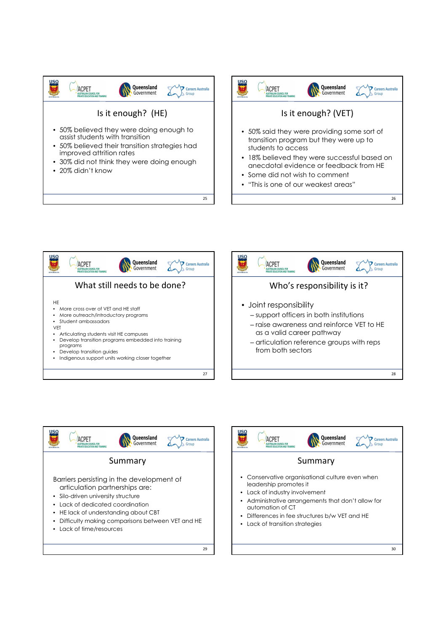



26